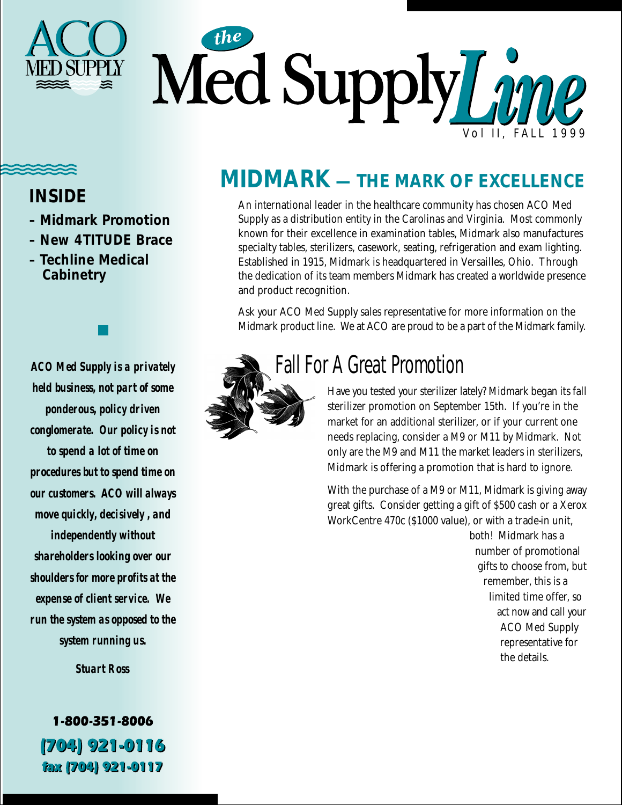

### **INSIDE**

- **Midmark Promotion**
- **New 4TITUDE Brace**
- **Techline Medical Cabinetry**

*ACO Med Supply is a privately held business, not part of some ponderous, policy driven conglomerate. Our policy is not to spend a lot of time on procedures but to spend time on our customers. ACO will always move quickly, decisively , and independently without shareholders looking over our shoulders for more profits at the expense of client service. We run the system as opposed to the system running us.*

*Stuart Ross*

1-800-351-8006 (704) 921-0116 fax (704) 921-0117

# **MIDMARK — THE MARK OF EXCELLENCE**

An international leader in the healthcare community has chosen ACO Med Supply as a distribution entity in the Carolinas and Virginia. Most commonly known for their excellence in examination tables, Midmark also manufactures specialty tables, sterilizers, casework, seating, refrigeration and exam lighting. Established in 1915, Midmark is headquartered in Versailles, Ohio. Through the dedication of its team members Midmark has created a worldwide presence and product recognition.

Ask your ACO Med Supply sales representative for more information on the Midmark product line. We at ACO are proud to be a part of the Midmark family.



## Fall For A Great Promotion

Have you tested your sterilizer lately? Midmark began its fall sterilizer promotion on September 15th. If you're in the market for an additional sterilizer, or if your current one needs replacing, consider a M9 or M11 by Midmark. Not only are the M9 and M11 the market leaders in sterilizers, Midmark is offering a promotion that is hard to ignore.

With the purchase of a M9 or M11, Midmark is giving away great gifts. Consider getting a gift of \$500 cash or a Xerox WorkCentre 470c (\$1000 value), or with a trade-in unit,

> both! Midmark has a number of promotional gifts to choose from, but remember, this is a limited time offer, so act now and call your ACO Med Supply representative for the details.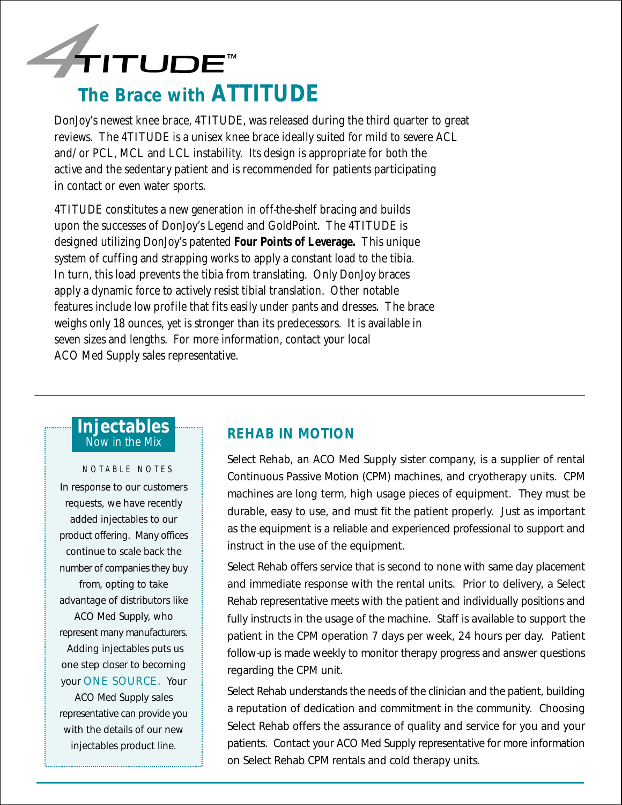

#### DonJoy's newest knee brace, 4TITUDE, was released during the third quarter to great reviews. The 4TITUDE is a unisex knee brace ideally suited for mild to severe ACL and/or PCL, MCL and LCL instability. Its design is appropriate for both the active and the sedentary patient and is recommended for patients participating in contact or even water sports.

4TITUDE constitutes a new generation in off-the-shelf bracing and builds upon the successes of DonJoy's Legend and GoldPoint. The 4TITUDE is designed utilizing DonJoy's patented **Four Points of Leverage.** This unique system of cuffing and strapping works to apply a constant load to the tibia. In turn, this load prevents the tibia from translating. Only DonJoy braces apply a dynamic force to actively resist tibial translation. Other notable features include low profile that fits easily under pants and dresses. The brace weighs only 18 ounces, yet is stronger than its predecessors. It is available in seven sizes and lengths. For more information, contact your local ACO Med Supply sales representative.

#### **Injectables** Now in the Mix

#### NOTABLE NOTES

In response to our customers requests, we have recently added injectables to our product offering. Many offices continue to scale back the number of companies they buy from, opting to take advantage of distributors like ACO Med Supply, who represent many manufacturers. Adding injectables puts us one step closer to becoming your ONE SOURCE. Your

ACO Med Supply sales representative can provide you with the details of our new injectables product line.

#### **REHAB IN MOTION**

Select Rehab, an ACO Med Supply sister company, is a supplier of rental Continuous Passive Motion (CPM) machines, and cryotherapy units. CPM machines are long term, high usage pieces of equipment. They must be durable, easy to use, and must fit the patient properly. Just as important as the equipment is a reliable and experienced professional to support and instruct in the use of the equipment.

Select Rehab offers service that is second to none with same day placement and immediate response with the rental units. Prior to delivery, a Select Rehab representative meets with the patient and individually positions and fully instructs in the usage of the machine. Staff is available to support the patient in the CPM operation 7 days per week, 24 hours per day. Patient follow-up is made weekly to monitor therapy progress and answer questions regarding the CPM unit.

Select Rehab understands the needs of the clinician and the patient, building a reputation of dedication and commitment in the community. Choosing Select Rehab offers the assurance of quality and service for you and your patients. Contact your ACO Med Supply representative for more information on Select Rehab CPM rentals and cold therapy units.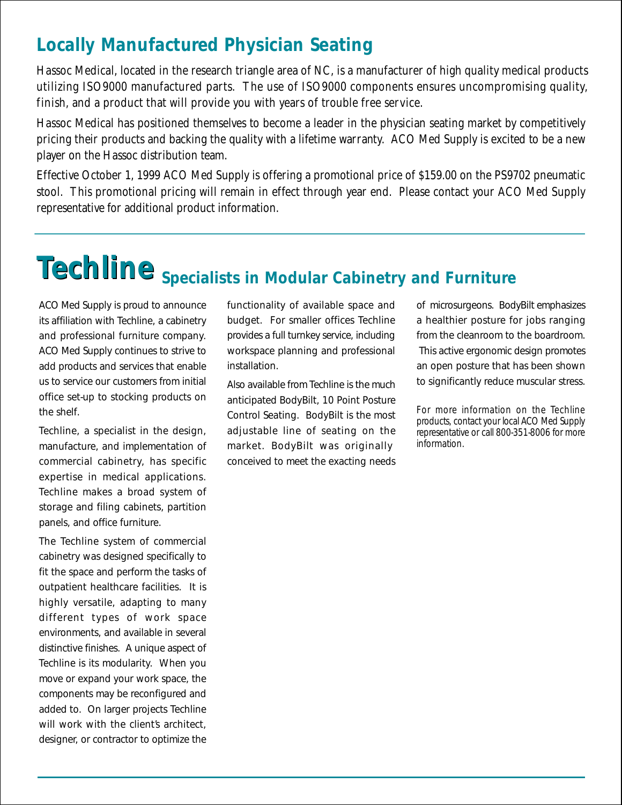## **Locally Manufactured Physician Seating**

Hassoc Medical, located in the research triangle area of NC, is a manufacturer of high quality medical products utilizing ISO9000 manufactured parts. The use of ISO9000 components ensures uncompromising quality, finish, and a product that will provide you with years of trouble free service.

Hassoc Medical has positioned themselves to become a leader in the physician seating market by competitively pricing their products and backing the quality with a lifetime warranty. ACO Med Supply is excited to be a new player on the Hassoc distribution team.

Effective October 1, 1999 ACO Med Supply is offering a promotional price of \$159.00 on the PS9702 pneumatic stool. This promotional pricing will remain in effect through year end. Please contact your ACO Med Supply representative for additional product information.

# **Techline Specialists in Modular Cabinetry and Furniture**

ACO Med Supply is proud to announce its affiliation with Techline, a cabinetry and professional furniture company. ACO Med Supply continues to strive to add products and services that enable us to service our customers from initial office set-up to stocking products on the shelf.

Techline, a specialist in the design, manufacture, and implementation of commercial cabinetry, has specific expertise in medical applications. Techline makes a broad system of storage and filing cabinets, partition panels, and office furniture.

The Techline system of commercial cabinetry was designed specifically to fit the space and perform the tasks of outpatient healthcare facilities. It is highly versatile, adapting to many different types of work space environments, and available in several distinctive finishes. A unique aspect of Techline is its modularity. When you move or expand your work space, the components may be reconfigured and added to. On larger projects Techline will work with the client's architect, designer, or contractor to optimize the functionality of available space and budget. For smaller offices Techline provides a full turnkey service, including workspace planning and professional installation.

Also available from Techline is the much anticipated BodyBilt, 10 Point Posture Control Seating. BodyBilt is the most adjustable line of seating on the market. BodyBilt was originally conceived to meet the exacting needs

of microsurgeons. BodyBilt emphasizes a healthier posture for jobs ranging from the cleanroom to the boardroom. This active ergonomic design promotes an open posture that has been shown to significantly reduce muscular stress.

For more information on the Techline products, contact your local ACO Med Supply representative or call 800-351-8006 for more information.